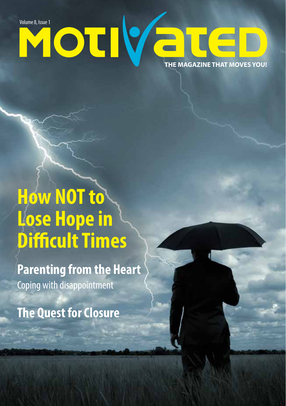**THE MAGAZINE THAT MOVES YOU!** Volume 8, Issue 1<br>**Volume 8, Issue 1** 

### **How NOT to Lose Hope in Difficult Times**

**Parenting from the Heart** Coping with disappointment

**The Quest for Closure**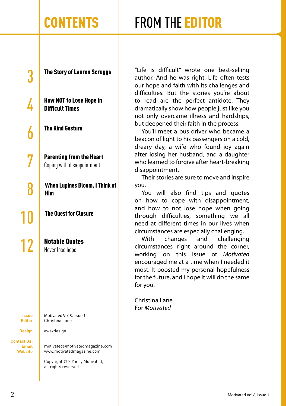### CONTENTS FROM THE EDITOR

3 The Story of Lauren Scruggs

How NOT to Lose Hope in Difficult Times

The Kind Gesture

7 Parenting from the Heart Coping with disappointment

When Lupines Bloom, I Think of Him

The Quest for Closure

**12** Notable Quotes

**Issue Editor**

**Design**

**Contact Us: Email Website** Motivated Vol 8, Issue 1 Christina Lane

awexdesign

motivated@motivatedmagazine.com www.motivatedmagazine.com

Copyright © 2016 by Motivated, all rights reserved

"Life is difficult" wrote one best-selling author. And he was right. Life often tests our hope and faith with its challenges and difficulties. But the stories you're about to read are the perfect antidote. They dramatically show how people just like you not only overcame illness and hardships, but deepened their faith in the process.

You'll meet a bus driver who became a beacon of light to his passengers on a cold, dreary day, a wife who found joy again after losing her husband, and a daughter who learned to forgive after heart-breaking disappointment.

Their stories are sure to move and inspire you.

You will also find tips and quotes on how to cope with disappointment, and how to not lose hope when going through difficulties, something we all need at different times in our lives when circumstances are especially challenging.

With changes and challenging circumstances right around the corner, working on this issue of *Motivated*  encouraged me at a time when I needed it most. It boosted my personal hopefulness for the future, and I hope it will do the same for you.

Christina Lane For *Motivated*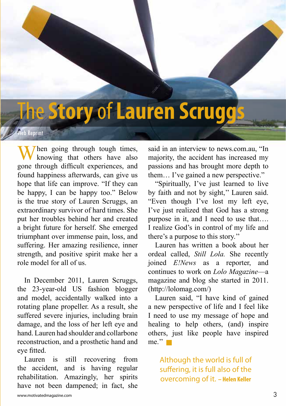### The**Story** of **Lauren Scruggs**

#### eb Reprint

When going through tough times,<br>knowing that others have also gone through difficult experiences, and found happiness afterwards, can give us hope that life can improve. "If they can be happy, I can be happy too." Below is the true story of Lauren Scruggs, an extraordinary survivor of hard times. She put her troubles behind her and created a bright future for herself. She emerged triumphant over immense pain, loss, and suffering. Her amazing resilience, inner strength, and positive spirit make her a role model for all of us.

In December 2011, Lauren Scruggs, the 23-year-old US fashion blogger and model, accidentally walked into a rotating plane propeller. As a result, she suffered severe injuries, including brain damage, and the loss of her left eye and hand. Lauren had shoulder and collarbone reconstruction, and a prosthetic hand and eye fitted.

Lauren is still recovering from the accident, and is having regular rehabilitation. Amazingly, her spirits have not been dampened; in fact, she

said in an interview to news.com.au, "In majority, the accident has increased my passions and has brought more depth to them… I've gained a new perspective."

"Spiritually, I've just learned to live by faith and not by sight,'' Lauren said. "Even though I've lost my left eye, I've just realized that God has a strong purpose in it, and I need to use that…. I realize God's in control of my life and there's a purpose to this story.''

Lauren has written a book about her ordeal called, *Still Lola.* She recently joined *E!News* as a reporter, and continues to work on *Lolo Magazine*—a magazine and blog she started in 2011. (http://lolomag.com/)

Lauren said, "I have kind of gained a new perspective of life and I feel like I need to use my message of hope and healing to help others, (and) inspire others, just like people have inspired  $me.$ <sup>"</sup>

Although the world is full of suffering, it is full also of the overcoming of it. **– Helen Keller**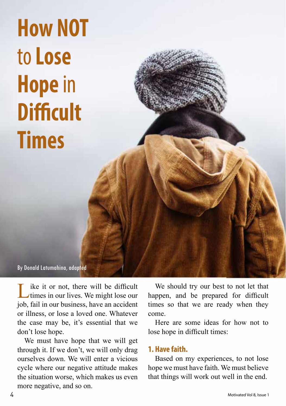**How NOT**  to **Lose Hope** in **Difficult Times**

By Donald Latumahina, adapted

Like it or not, there will be difficult<br>times in our lives. We might lose our job, fail in our business, have an accident or illness, or lose a loved one. Whatever the case may be, it's essential that we don't lose hope.

We must have hope that we will get through it. If we don't, we will only drag ourselves down. We will enter a vicious cycle where our negative attitude makes the situation worse, which makes us even more negative, and so on.

We should try our best to not let that happen, and be prepared for difficult times so that we are ready when they come.

Here are some ideas for how not to lose hope in difficult times:

#### **1. Have faith.**

Based on my experiences, to not lose hope we must have faith. We must believe that things will work out well in the end.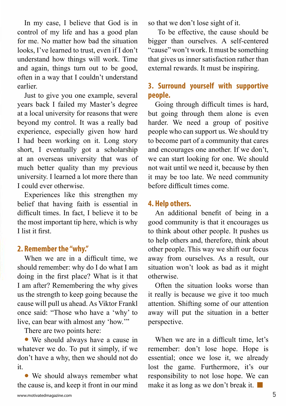In my case, I believe that God is in control of my life and has a good plan for me. No matter how bad the situation looks, I've learned to trust, even if I don't understand how things will work. Time and again, things turn out to be good, often in a way that I couldn't understand earlier.

Just to give you one example, several years back I failed my Master's degree at a local university for reasons that were beyond my control. It was a really bad experience, especially given how hard I had been working on it. Long story short, I eventually got a scholarship at an overseas university that was of much better quality than my previous university. I learned a lot more there than I could ever otherwise.

Experiences like this strengthen my belief that having faith is essential in difficult times. In fact, I believe it to be the most important tip here, which is why I list it first.

#### **2. Remember the "why."**

When we are in a difficult time, we should remember: why do I do what I am doing in the first place? What is it that I am after? Remembering the why gives us the strength to keep going because the cause will pull us ahead. As Viktor Frankl once said: "Those who have a 'why' to live, can bear with almost any 'how.'"

There are two points here:

• We should always have a cause in whatever we do. To put it simply, if we don't have a why, then we should not do it.

• We should always remember what the cause is, and keep it front in our mind so that we don't lose sight of it.

 To be effective, the cause should be bigger than ourselves. A self-centered "cause" won't work. It must be something that gives us inner satisfaction rather than external rewards. It must be inspiring.

### **3. Surround yourself with supportive people.**

Going through difficult times is hard, but going through them alone is even harder. We need a group of positive people who can support us. We should try to become part of a community that cares and encourages one another. If we don't, we can start looking for one. We should not wait until we need it, because by then it may be too late. We need community before difficult times come.

#### **4. Help others.**

An additional benefit of being in a good community is that it encourages us to think about other people. It pushes us to help others and, therefore, think about other people. This way we shift our focus away from ourselves. As a result, our situation won't look as bad as it might otherwise.

Often the situation looks worse than it really is because we give it too much attention. Shifting some of our attention away will put the situation in a better perspective.

When we are in a difficult time, let's remember: don't lose hope. Hope is essential; once we lose it, we already lost the game. Furthermore, it's our responsibility to not lose hope. We can make it as long as we don't break it.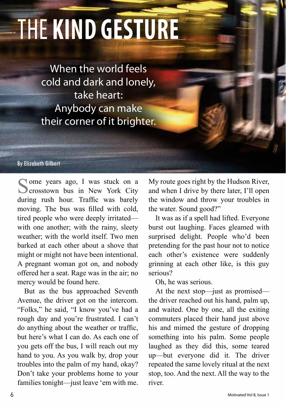# The **Kind Gesture**

When the world feels cold and dark and lonely, take heart: Anybody can make their corner of it brighter.

By Elizabeth Gilbert

Some years ago, I was stuck on a crosstown bus in New York City during rush hour. Traffic was barely moving. The bus was filled with cold, tired people who were deeply irritated with one another; with the rainy, sleety weather; with the world itself. Two men barked at each other about a shove that might or might not have been intentional. A pregnant woman got on, and nobody offered her a seat. Rage was in the air; no mercy would be found here.

But as the bus approached Seventh Avenue, the driver got on the intercom. "Folks," he said, "I know you've had a rough day and you're frustrated. I can't do anything about the weather or traffic, but here's what I can do. As each one of you gets off the bus, I will reach out my hand to you. As you walk by, drop your troubles into the palm of my hand, okay? Don't take your problems home to your families tonight—just leave 'em with me.

My route goes right by the Hudson River, and when I drive by there later, I'll open the window and throw your troubles in the water. Sound good?"

It was as if a spell had lifted. Everyone burst out laughing. Faces gleamed with surprised delight. People who'd been pretending for the past hour not to notice each other's existence were suddenly grinning at each other like, is this guy serious?

Oh, he was serious.

At the next stop—just as promised the driver reached out his hand, palm up, and waited. One by one, all the exiting commuters placed their hand just above his and mimed the gesture of dropping something into his palm. Some people laughed as they did this, some teared up—but everyone did it. The driver repeated the same lovely ritual at the next stop, too. And the next. All the way to the river.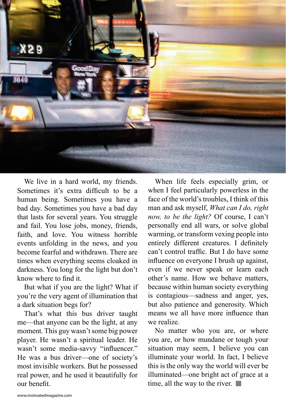

We live in a hard world, my friends. Sometimes it's extra difficult to be a human being. Sometimes you have a bad day. Sometimes you have a bad day that lasts for several years. You struggle and fail. You lose jobs, money, friends, faith, and love. You witness horrible events unfolding in the news, and you become fearful and withdrawn. There are times when everything seems cloaked in darkness. You long for the light but don't know where to find it.

But what if you are the light? What if you're the very agent of illumination that a dark situation begs for?

That's what this bus driver taught me—that anyone can be the light, at any moment. This guy wasn't some big power player. He wasn't a spiritual leader. He wasn't some media-savvy "influencer." He was a bus driver—one of society's most invisible workers. But he possessed real power, and he used it beautifully for our benefit.

When life feels especially grim, or when I feel particularly powerless in the face of the world's troubles, I think of this man and ask myself, *What can I do, right now, to be the light?* Of course, I can't personally end all wars, or solve global warming, or transform vexing people into entirely different creatures. I definitely can't control traffic. But I do have some influence on everyone I brush up against, even if we never speak or learn each other's name. How we behave matters, because within human society everything is contagious—sadness and anger, yes, but also patience and generosity. Which means we all have more influence than we realize.

No matter who you are, or where you are, or how mundane or tough your situation may seem, I believe you can illuminate your world. In fact, I believe this is the only way the world will ever be illuminated—one bright act of grace at a time, all the way to the river.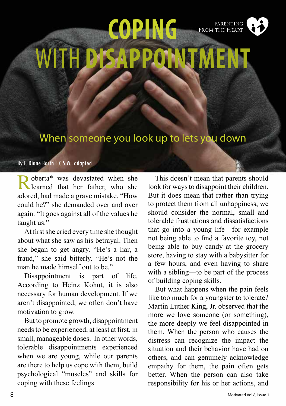

When someone you look up to lets you down

#### By F. Diane Barth L.C.S.W., adapted

Roberta\* was devastated when she learned that her father, who she adored, had made a grave mistake. "How could he?" she demanded over and over again. "It goes against all of the values he taught us."

At first she cried every time she thought about what she saw as his betrayal. Then she began to get angry. "He's a liar, a fraud," she said bitterly. "He's not the man he made himself out to be."

Disappointment is part of life. According to Heinz Kohut, it is also necessary for human development. If we aren't disappointed, we often don't have motivation to grow.

But to promote growth, disappointment needs to be experienced, at least at first, in small, manageable doses. In other words, tolerable disappointments experienced when we are young, while our parents are there to help us cope with them, build psychological "muscles" and skills for coping with these feelings.

This doesn't mean that parents should look for ways to disappoint their children. But it does mean that rather than trying to protect them from all unhappiness, we should consider the normal, small and tolerable frustrations and dissatisfactions that go into a young life—for example not being able to find a favorite toy, not being able to buy candy at the grocery store, having to stay with a babysitter for a few hours, and even having to share with a sibling—to be part of the process of building coping skills.

But what happens when the pain feels like too much for a youngster to tolerate? Martin Luther King, Jr. observed that the more we love someone (or something), the more deeply we feel disappointed in them. When the person who causes the distress can recognize the impact the situation and their behavior have had on others, and can genuinely acknowledge empathy for them, the pain often gets better. When the person can also take responsibility for his or her actions, and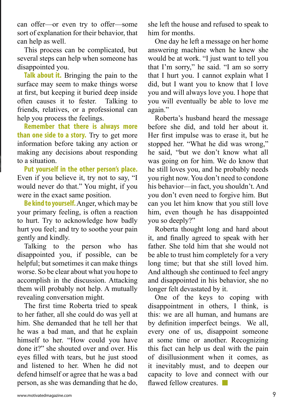can offer—or even try to offer—some sort of explanation for their behavior, that can help as well.

This process can be complicated, but several steps can help when someone has disappointed you.

**Talk about it.** Bringing the pain to the surface may seem to make things worse at first, but keeping it buried deep inside often causes it to fester. Talking to friends, relatives, or a professional can help you process the feelings.

**Remember that there is always more than one side to a story.** Try to get more information before taking any action or making any decisions about responding to a situation.

**Put yourself in the other person's place.** Even if you believe it, try not to say, "I would never do that." You might, if you were in the exact same position.

**Be kind to yourself.**Anger, which may be your primary feeling, is often a reaction to hurt. Try to acknowledge how badly hurt you feel; and try to soothe your pain gently and kindly.

Talking to the person who has disappointed you, if possible, can be helpful; but sometimes it can make things worse. So be clear about what you hope to accomplish in the discussion. Attacking them will probably not help. A mutually revealing conversation might.

The first time Roberta tried to speak to her father, all she could do was yell at him. She demanded that he tell her that he was a bad man, and that he explain himself to her. "How could you have done it?" she shouted over and over. His eyes filled with tears, but he just stood and listened to her. When he did not defend himself or agree that he was a bad person, as she was demanding that he do, she left the house and refused to speak to him for months.

One day he left a message on her home answering machine when he knew she would be at work. "I just want to tell you that I'm sorry," he said. "I am so sorry that I hurt you. I cannot explain what I did, but I want you to know that I love you and will always love you. I hope that you will eventually be able to love me again."

Roberta's husband heard the message before she did, and told her about it. Her first impulse was to erase it, but he stopped her. "What he did was wrong," he said, "but we don't know what all was going on for him. We do know that he still loves you, and he probably needs you right now. You don't need to condone his behavior—in fact, you shouldn't. And you don't even need to forgive him. But can you let him know that you still love him, even though he has disappointed you so deeply?"

Roberta thought long and hard about it, and finally agreed to speak with her father. She told him that she would not be able to trust him completely for a very long time; but that she still loved him. And although she continued to feel angry and disappointed in his behavior, she no longer felt devastated by it.

One of the keys to coping with disappointment in others, I think, is this: we are all human, and humans are by definition imperfect beings. We all, every one of us, disappoint someone at some time or another. Recognizing this fact can help us deal with the pain of disillusionment when it comes, as it inevitably must, and to deepen our capacity to love and connect with our flawed fellow creatures.  $\Box$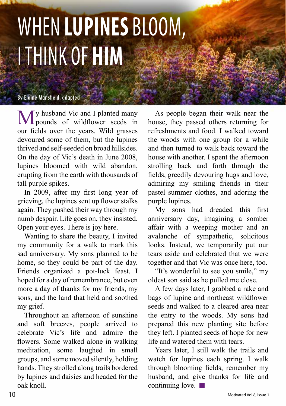## WHEN **LUPINES** BLOOM, I THINK OF **HIM**

#### By Elaine Mansfield, adapted

**My** husband Vic and I planted many<br>pounds of wildflower seeds in our fields over the years. Wild grasses devoured some of them, but the lupines thrived and self-seeded on broad hillsides. On the day of Vic's death in June 2008, lupines bloomed with wild abandon, erupting from the earth with thousands of tall purple spikes.

In 2009, after my first long year of grieving, the lupines sent up flower stalks again. They pushed their way through my numb despair. Life goes on, they insisted. Open your eyes. There is joy here.

my community for a walk to mark this Wanting to share the beauty, I invited sad anniversary. My sons planned to be home, so they could be part of the day. Friends organized a pot-luck feast. I hoped for a day of remembrance, but even more a day of thanks for my friends, my sons, and the land that held and soothed my grief.

Throughout an afternoon of sunshine and soft breezes, people arrived to celebrate Vic's life and admire the flowers. Some walked alone in walking meditation, some laughed in small groups, and some moved silently, holding hands. They strolled along trails bordered by lupines and daisies and headed for the oak knoll.

As people began their walk near the house, they passed others returning for refreshments and food. I walked toward the woods with one group for a while and then turned to walk back toward the house with another. I spent the afternoon strolling back and forth through the fields, greedily devouring hugs and love, admiring my smiling friends in their pastel summer clothes, and adoring the purple lupines.

My sons had dreaded this first anniversary day, imagining a somber affair with a weeping mother and an avalanche of sympathetic, solicitous looks. Instead, we temporarily put our tears aside and celebrated that we were together and that Vic was once here, too.

"It's wonderful to see you smile," my oldest son said as he pulled me close.

A few days later, I grabbed a rake and bags of lupine and northeast wildflower seeds and walked to a cleared area near the entry to the woods. My sons had prepared this new planting site before they left. I planted seeds of hope for new life and watered them with tears.

Years later, I still walk the trails and watch for lupines each spring. I walk through blooming fields, remember my husband, and give thanks for life and continuing love.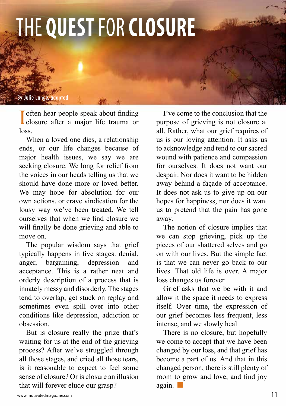### THE **QUEST** FOR **CLOSURE**

By Julie Lange, adapted

Inferred of the people speak about finding<br>closure after a major life trauma or **T** often hear people speak about finding loss.

When a loved one dies, a relationship ends, or our life changes because of major health issues, we say we are seeking closure. We long for relief from the voices in our heads telling us that we should have done more or loved better. We may hope for absolution for our own actions, or crave vindication for the lousy way we've been treated. We tell ourselves that when we find closure we will finally be done grieving and able to move on.

The popular wisdom says that grief typically happens in five stages: denial, anger, bargaining, depression and acceptance. This is a rather neat and orderly description of a process that is innately messy and disorderly. The stages tend to overlap, get stuck on replay and sometimes even spill over into other conditions like depression, addiction or obsession.

But is closure really the prize that's waiting for us at the end of the grieving process? After we've struggled through all those stages, and cried all those tears, is it reasonable to expect to feel some sense of closure? Or is closure an illusion that will forever elude our grasp?

I've come to the conclusion that the purpose of grieving is not closure at all. Rather, what our grief requires of us is our loving attention. It asks us to acknowledge and tend to our sacred wound with patience and compassion for ourselves. It does not want our despair. Nor does it want to be hidden away behind a façade of acceptance. It does not ask us to give up on our hopes for happiness, nor does it want us to pretend that the pain has gone away.

The notion of closure implies that we can stop grieving, pick up the pieces of our shattered selves and go on with our lives. But the simple fact is that we can never go back to our lives. That old life is over. A major loss changes us forever.

Grief asks that we be with it and allow it the space it needs to express itself. Over time, the expression of our grief becomes less frequent, less intense, and we slowly heal.

There is no closure, but hopefully we come to accept that we have been changed by our loss, and that grief has become a part of us. And that in this changed person, there is still plenty of room to grow and love, and find joy again.